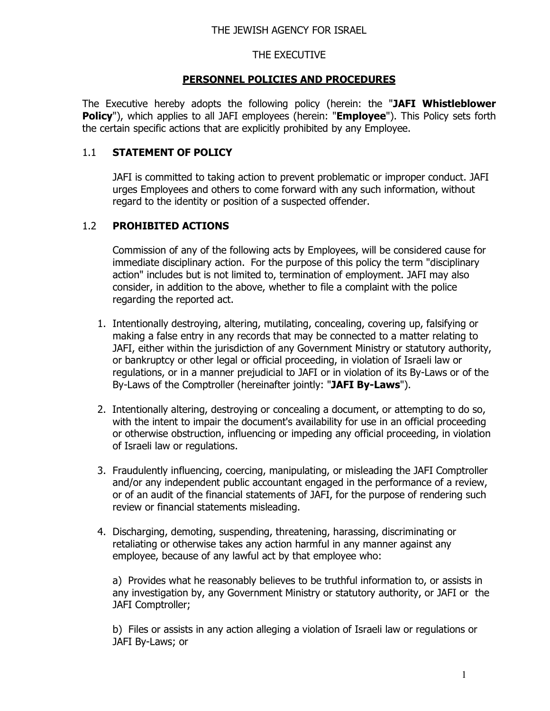## THE EXECUTIVE

## **PERSONNEL POLICIES AND PROCEDURES**

The Executive hereby adopts the following policy (herein: the "**JAFI Whistleblower Policy**"), which applies to all JAFI employees (herein: "**Employee**"). This Policy sets forth the certain specific actions that are explicitly prohibited by any Employee.

### 1.1 **STATEMENT OF POLICY**

JAFI is committed to taking action to prevent problematic or improper conduct. JAFI urges Employees and others to come forward with any such information, without regard to the identity or position of a suspected offender.

## 1.2 **PROHIBITED ACTIONS**

Commission of any of the following acts by Employees, will be considered cause for immediate disciplinary action.For the purpose of this policy the term "disciplinary action" includes but is not limited to, termination of employment. JAFI may also consider, in addition to the above, whether to file a complaint with the police regarding the reported act.

- 1. Intentionally destroying, altering, mutilating, concealing, covering up, falsifying or making a false entry in any records that may be connected to a matter relating to JAFI, either within the jurisdiction of any Government Ministry or statutory authority, or bankruptcy or other legal or official proceeding, in violation of Israeli law or regulations, or in a manner prejudicial to JAFI or in violation of its By-Laws or of the By-Laws of the Comptroller (hereinafter jointly: "**JAFI By-Laws**").
- 2. Intentionally altering, destroying or concealing a document, or attempting to do so, with the intent to impair the document's availability for use in an official proceeding or otherwise obstruction, influencing or impeding any official proceeding, in violation of Israeli law or regulations.
- 3. Fraudulently influencing, coercing, manipulating, or misleading the JAFI Comptroller and/or any independent public accountant engaged in the performance of a review, or of an audit of the financial statements of JAFI, for the purpose of rendering such review or financial statements misleading.
- 4. Discharging, demoting, suspending, threatening, harassing, discriminating or retaliating or otherwise takes any action harmful in any manner against any employee, because of any lawful act by that employee who:

a) Provides what he reasonably believes to be truthful information to, or assists in any investigation by, any Government Ministry or statutory authority, or JAFI or the JAFI Comptroller;

b) Files or assists in any action alleging a violation of Israeli law or regulations or JAFI By-Laws; or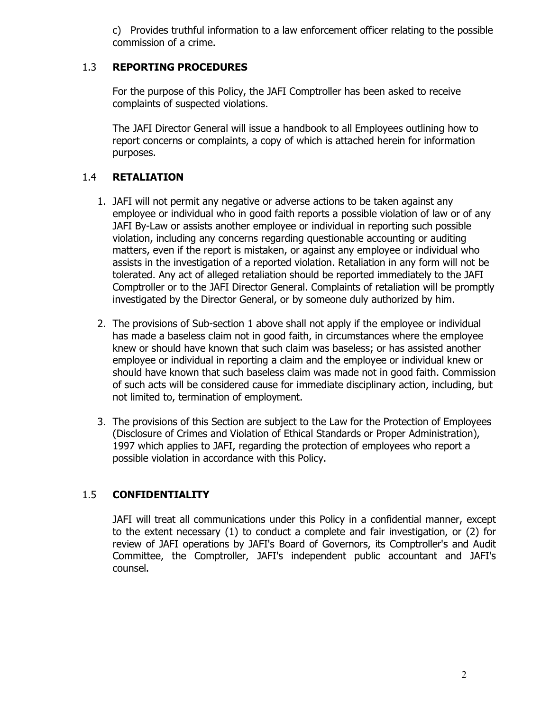c) Provides truthful information to a law enforcement officer relating to the possible commission of a crime.

## 1.3 **REPORTING PROCEDURES**

For the purpose of this Policy, the JAFI Comptroller has been asked to receive complaints of suspected violations.

The JAFI Director General will issue a handbook to all Employees outlining how to report concerns or complaints, a copy of which is attached herein for information purposes.

## 1.4 **RETALIATION**

- 1. JAFI will not permit any negative or adverse actions to be taken against any employee or individual who in good faith reports a possible violation of law or of any JAFI By-Law or assists another employee or individual in reporting such possible violation, including any concerns regarding questionable accounting or auditing matters, even if the report is mistaken, or against any employee or individual who assists in the investigation of a reported violation. Retaliation in any form will not be tolerated. Any act of alleged retaliation should be reported immediately to the JAFI Comptroller or to the JAFI Director General. Complaints of retaliation will be promptly investigated by the Director General, or by someone duly authorized by him.
- 2. The provisions of Sub-section 1 above shall not apply if the employee or individual has made a baseless claim not in good faith, in circumstances where the employee knew or should have known that such claim was baseless; or has assisted another employee or individual in reporting a claim and the employee or individual knew or should have known that such baseless claim was made not in good faith. Commission of such acts will be considered cause for immediate disciplinary action, including, but not limited to, termination of employment.
- 3. The provisions of this Section are subject to the Law for the Protection of Employees (Disclosure of Crimes and Violation of Ethical Standards or Proper Administration), 1997 which applies to JAFI, regarding the protection of employees who report a possible violation in accordance with this Policy.

# 1.5 **CONFIDENTIALITY**

JAFI will treat all communications under this Policy in a confidential manner, except to the extent necessary (1) to conduct a complete and fair investigation, or (2) for review of JAFI operations by JAFI's Board of Governors, its Comptroller's and Audit Committee, the Comptroller, JAFI's independent public accountant and JAFI's counsel.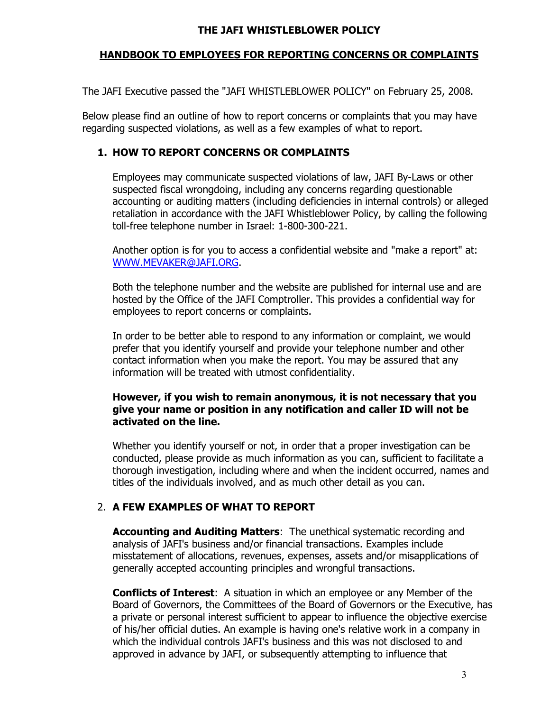#### **THE JAFI WHISTLEBLOWER POLICY**

## **HANDBOOK TO EMPLOYEES FOR REPORTING CONCERNS OR COMPLAINTS**

The JAFI Executive passed the "JAFI WHISTLEBLOWER POLICY" on February 25, 2008.

Below please find an outline of how to report concerns or complaints that you may have regarding suspected violations, as well as a few examples of what to report.

## **1. HOW TO REPORT CONCERNS OR COMPLAINTS**

Employees may communicate suspected violations of law, JAFI By-Laws or other suspected fiscal wrongdoing, including any concerns regarding questionable accounting or auditing matters (including deficiencies in internal controls) or alleged retaliation in accordance with the JAFI Whistleblower Policy, by calling the following toll-free telephone number in Israel: 1-800-300-221.

Another option is for you to access a confidential website and "make a report" at: WWW.MEVAKER@JAFI.ORG.

Both the telephone number and the website are published for internal use and are hosted by the Office of the JAFI Comptroller. This provides a confidential way for employees to report concerns or complaints.

In order to be better able to respond to any information or complaint, we would prefer that you identify yourself and provide your telephone number and other contact information when you make the report. You may be assured that any information will be treated with utmost confidentiality.

### **However, if you wish to remain anonymous, it is not necessary that you give your name or position in any notification and caller ID will not be activated on the line.**

Whether you identify yourself or not, in order that a proper investigation can be conducted, please provide as much information as you can, sufficient to facilitate a thorough investigation, including where and when the incident occurred, names and titles of the individuals involved, and as much other detail as you can.

# 2. **A FEW EXAMPLES OF WHAT TO REPORT**

**Accounting and Auditing Matters**: The unethical systematic recording and analysis of JAFI's business and/or financial transactions. Examples include misstatement of allocations, revenues, expenses, assets and/or misapplications of generally accepted accounting principles and wrongful transactions.

**Conflicts of Interest**: A situation in which an employee or any Member of the Board of Governors, the Committees of the Board of Governors or the Executive, has a private or personal interest sufficient to appear to influence the objective exercise of his/her official duties. An example is having one's relative work in a company in which the individual controls JAFI's business and this was not disclosed to and approved in advance by JAFI, or subsequently attempting to influence that